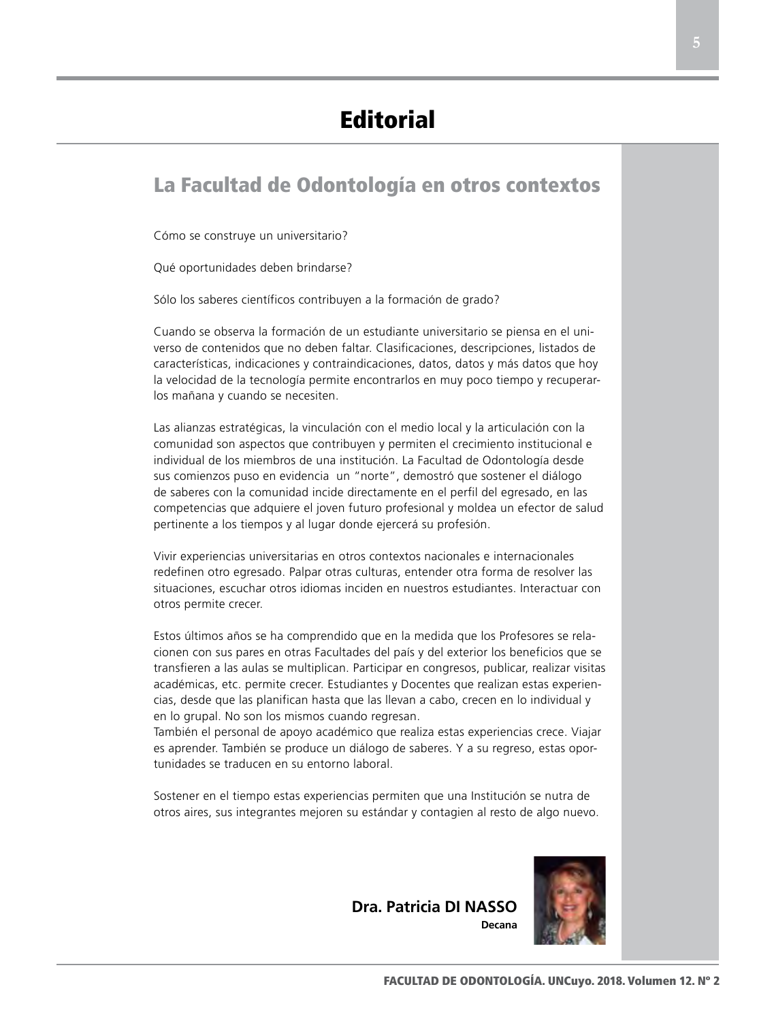## La Facultad de Odontología en otros contextos

Cómo se construye un universitario?

Qué oportunidades deben brindarse?

Sólo los saberes científicos contribuyen a la formación de grado?

Cuando se observa la formación de un estudiante universitario se piensa en el universo de contenidos que no deben faltar. Clasificaciones, descripciones, listados de características, indicaciones y contraindicaciones, datos, datos y más datos que hoy la velocidad de la tecnología permite encontrarlos en muy poco tiempo y recuperarlos mañana y cuando se necesiten.

Las alianzas estratégicas, la vinculación con el medio local y la articulación con la comunidad son aspectos que contribuyen y permiten el crecimiento institucional e individual de los miembros de una institución. La Facultad de Odontología desde sus comienzos puso en evidencia un "norte", demostró que sostener el diálogo de saberes con la comunidad incide directamente en el perfil del egresado, en las competencias que adquiere el joven futuro profesional y moldea un efector de salud pertinente a los tiempos y al lugar donde ejercerá su profesión.

Vivir experiencias universitarias en otros contextos nacionales e internacionales redefinen otro egresado. Palpar otras culturas, entender otra forma de resolver las situaciones, escuchar otros idiomas inciden en nuestros estudiantes. Interactuar con otros permite crecer.

Estos últimos años se ha comprendido que en la medida que los Profesores se relacionen con sus pares en otras Facultades del país y del exterior los beneficios que se transfieren a las aulas se multiplican. Participar en congresos, publicar, realizar visitas académicas, etc. permite crecer. Estudiantes y Docentes que realizan estas experiencias, desde que las planifican hasta que las llevan a cabo, crecen en lo individual y en lo grupal. No son los mismos cuando regresan.

También el personal de apoyo académico que realiza estas experiencias crece. Viajar es aprender. También se produce un diálogo de saberes. Y a su regreso, estas oportunidades se traducen en su entorno laboral.

Sostener en el tiempo estas experiencias permiten que una Institución se nutra de otros aires, sus integrantes mejoren su estándar y contagien al resto de algo nuevo.



**Dra. Patricia DI NASSO**